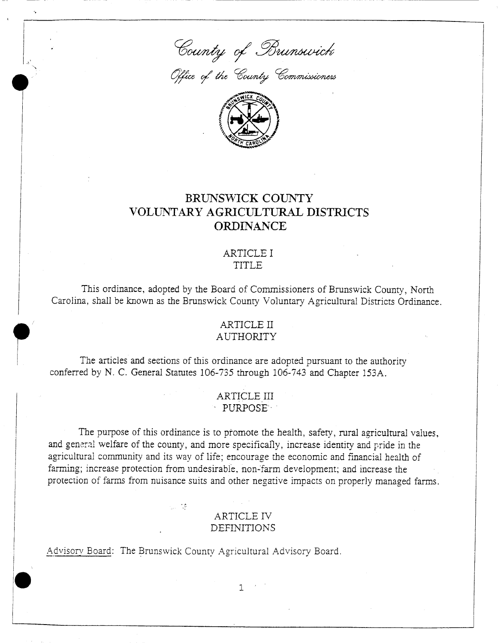ounty of Br

.<br>Office of the County Co.



## BRUNSWICK COUNTY VOLUNTARY AGRICULTURAL DISTRICTS ORDINANCE

#### ARTICLE I TITLE

This ordinance, adopted by the Board of Commissioners of Brunswick County, North Carolina, shall be known as the Brunswick County Voluntary Agricultural Districts Ordinance.

### ARTICLE II **AUTHORITY**

The articles and sections of this ordinance are adopted pursuant to the authority conferred by N. C. General Statutes 106-735 through 106-743 and Chapter 153A.

r

ARTICLE III **PURPOSE** 

The purpose of this ordinance is to promote the health, safety, rural agricultural values, confe<br>and g<br>agricu<br>farmii e purpose or this ordinance is to promote the health, safety, rural agricultural val<br>al welfare of the county, and more specifically, increase identity and pride in the ARTICLE III<br>
PURPOSE<br>
The purpose of this ordinance is to promote the health, safety, rural agricultural val<br>
and general welfare of the county, and more specifically, increase identity and pride in the<br>
agricultural commu agricultural community and its way of life; encourage the economic and financial health of<br>farming; increase protection from undesirable, non-farm development; and increase the protection of farms from nuisance suits and other negative impacts on properly managed farms.

# ARTICLE IV and other negati<br>ARTICLE IV<br>DEFINITIONS

Board The Brunswick County Agricultural Advisory Board - The Brunswick County Agricultural Advisory Board -

1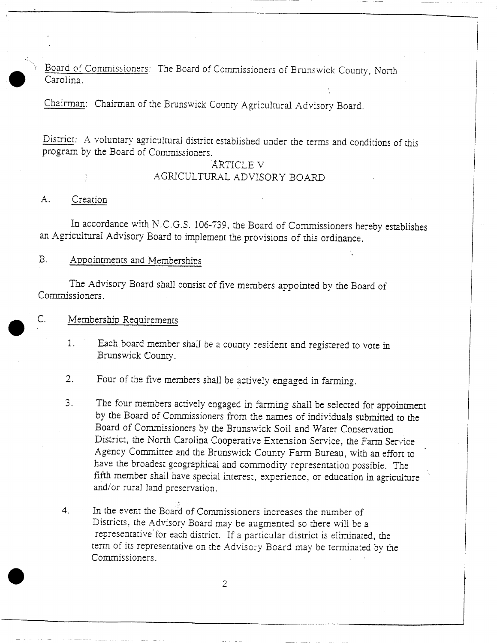Board of Commissioners: The Board of Commissioners of Brunswick County, North Carolina

Chairman: Chairman of the Brunswick County Agricultural Advisory Board.

District: A voluntary agricultural district established under the terms and conditions of this program by the Board of Commissioners

#### ARTICLE V AGRlCULTURAL ADVISORY BOARD

#### A. Creation

 $\mathsf{C}.$ 

In accordance with N.C.G.S. 106-739, the Board of Commissioners hereby establishes

#### B. Appointments and Memberships

A. Creation<br>In accordance with N.C.G.S. 106-739, the Board of Commissioners h<br>an Agricultural Advisory Board to implement the provisions of this ordinance<br>B. Appointments and Memberships<br>The Advisory Board shall consist of Appointments and Memberships<br>The Advisory Board shall consist of five members appointed by the Board of<br>ssioners. Appointments and Member<br>The Advisory Board shall<br>Issioners.<br>Membership Requirements<br>1. Each board member

- Membership Requirements<br>1. Each board member shall be a county resident and registered to vote in<br>Brunswick County. Each board members<br>Brunswick County Fach board member shall be a county resident and registered to<br>Brunswick County.<br>2. Four of the five members shall be actively engaged in farming.<br>3. The four members actively engaged in farming shall be selected
- 
- The four of the five members shall be actively engaged in farming.<br>
The four members actively engaged in farming shall be selected for appointment<br>
by the Board of Commissioners from the names of individuals submitted to t The four members actively engaged in farming shall be selected for appointmen<br>by the Board of Commissioners from the names of individuals submitted to the<br>Board of Commissioners by the Brunswick Soil and Water Conservation by the Board of Commissioners from the names of individuals submitted to the Board of Commissioners by the Brunswick Soil and Water Conservation District, the North Carolina Cooperative Extension Service, the Farm Service District, the North Carolina Cooperative Extension Service, the Farm Service<br>Agency Committee and the Brunswick County Farm Bureau, with an effort to<br>have the broadest seconomical and commodiate acceptation was illustry. Bistrict, the North Carolina Cooperative Extension Service, the Farm Service<br>Agency Committee and the Brunswick County Farm Bureau, with an effort to<br>have the broadest geographical and commodity representation possible. Th have the broadest geographical and commodity representation possible. The fifth member shall have special interest, experience, or education in agriculture and/or rural land preservation.
- $4<sub>1</sub>$ and/or rural land preservation.<br>In the event the Board of Commissioners increases the number of<br>Districts, the Advisory Board may be augmented so there will be In the event the Board of Commissioners increases the number of Districts, the Advisory Board may be augmented so there will be a representative for each district. If a particular district is eliminated In the event the Board of Commissioners increases the number of<br>Districts, the Advisory Board may be augmented so there will be a<br>representative for each district. If a particular district is eliminated, the<br>erm of its rep In the Great the Board of Commissioners increases the number of<br>Districts, the Advisory Board may be augmented so there will be a<br>representative for each district. If a particular district is eliminated, the<br>term of its re and/or rural la<br>
In the event the<br>
Districts, the A<br>
representative<br>
term of its repr<br>
Commissioners Commissioners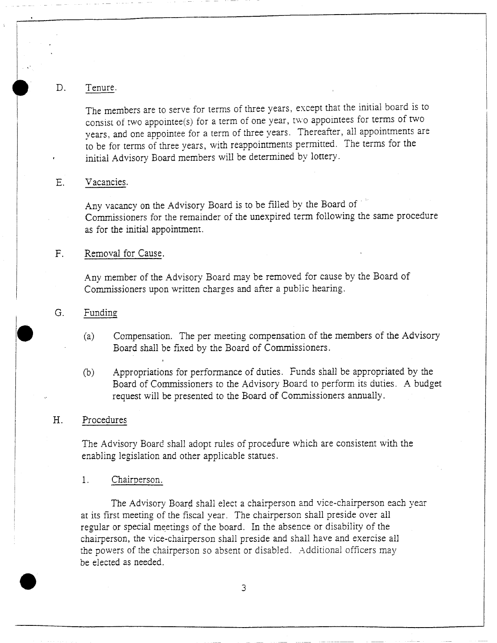#### D. Tenure.

The members are to serve for terms of three years, except that the initial board is to consist of two appointee(s) for a term of one year, two appointees for terms of two years, and one appointee for a term of three years. Thereafter, all appointments are to be for terms of three years, with reappointments permitted. The terms for the initial Advisory Board members will be determined by lottery

#### E. Vacancies.

Any vacancy on the Advisory Board is to be filled by the Board of Commissioners for the remainder of the unexpired term following the same procedure as for the initial appointment

#### F. Removal for Cause.

Any member of the Advisory Board may be removed for cause by the Board of Commissioners upon written charges and after <sup>a</sup> public hearing

#### G. Funding

- (a) Compensation. The per meeting compensation of the members of the Advisory Board shall be fixed by the Board of Commissioners
- <sup>b</sup> Appropriations for performance of duties Funds shall be appropriated by the Board of Commissioners to the Advisory Board to perform its duties. A budget request will be presented to the Board of Commissioners annually

#### H. Procedures

The Advisory Board shall adopt rules of procedure which are consistent with the enabling legislation and other applicable statues.

#### 1. Chairperson.

The Advisory Board shall elect a chairperson and vice-chairperson each year The Advisory Board shall elect a chairperson and vice-chairperson e<br>at its first meeting of the fiscal year. The chairperson shall preside over all<br>regular or special meetings of the board. In the absence or disability of regular or special meetings of the board. In the absence or disability of the<br>chairperson, the vice-chairperson shall preside and shall have and exercise all<br>the powers of the chairperson so absent or disabled. Additional chairperson, the vice-chairperson shall preside and shall have and exercise all<br>the powers of the chairperson so absent or disabled. Additional officers may the powers of the chairperson so absent or disabled. Additional officers may be elected as needed.

3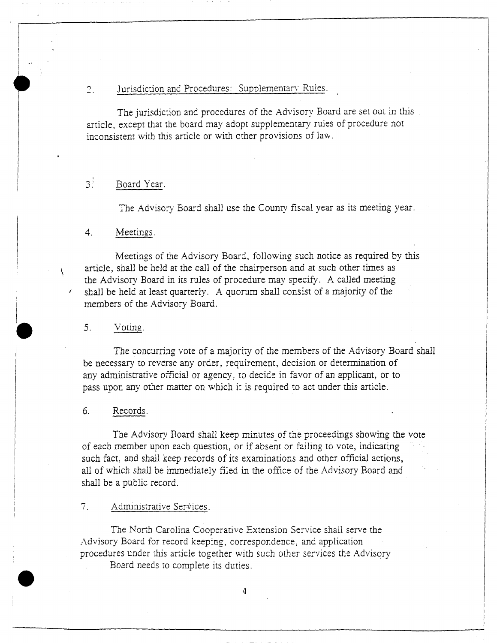#### 2. Jurisdiction and Procedures: Supplementary Rules.

The jurisdiction and procedures of the Advisory Board are set out in this article, except that the board may adopt supplementary rules of procedure not inconsistent with this article or with other provisions of law

## 3<sup>3</sup> Board Year.

The Advisory Board shall use the County fiscal year as its meeting year

#### 4. Meetings.

Meetings of the Advisory Board, following such notice as required by this article, shall be held at the call of the chairperson and at such other times as the Advisory Board in its rules of procedure may specify. A called meeting shall be held at least quarterly. A quorum shall consist of a majority of the members of the Advisory Board

#### 5. Voting.

The concurring vote of <sup>a</sup> majority of the members of the Advisory Board shall be necessary to reverse any order, requirement, decision or determination of any administrative official or agency, to decide in favor of an applicant, or to pass upon any other matter on which it is required to act under this article

#### 6. Records.

The Advisory Board shall keep minutes of the proceedings showing the vote of each member upon each question, or if absent or failing to vote, indicating such fact, and shall keep records of its examinations and other official actions, all of which shall be immediately filed in the office of the Advisory Board and shall be <sup>a</sup> public record

 $7<sub>1</sub>$ Administrative Services

The North Carolina Cooperative Extension Service shall serve the Advisory Board for record keeping, correspondence, and application procedures under this article together with such other services the Advisory

Board needs to complete its duries

 $\Delta$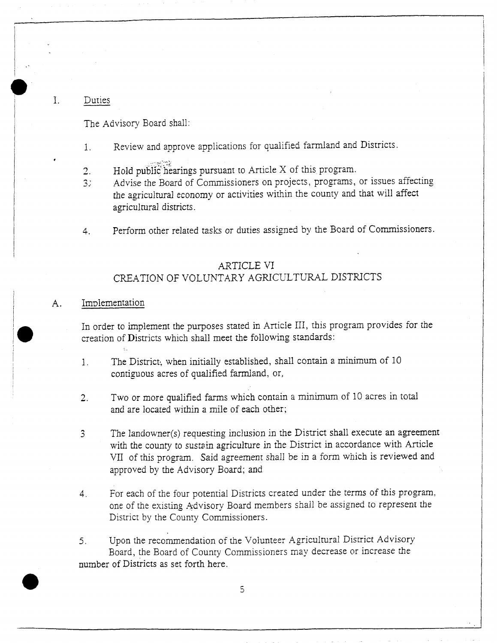#### 1 Duties

The Advisory Board shall

- 1. Review and approve applications for qualified farmland and Districts
- 
- The Advisory Board shall:<br>
1. Review and approve applications for qualified farmland an<br>
2. Hold public hearings pursuant to Article X of this program<br>
3. Advise the Board of Commissioners on projects, programs<br>
the agricu 2. Hold public hearings pursuant to Article X of this program.<br>3. Advise the Board of Commissioners on projects, programs, or issues affecting Advise the Board of Commissioners on projects, programs, or issues affectie agricultural economy or activities within the county and that will affect the agricultural economical districts
- agricultural districts.<br>4. Perform other related tasks or duties assigned by the Board of Commissioners.

# s or dutes ass<br>ARTICLE VI<br>TARY AGRI ARTICLE VI<br>CREATION OF VOLUNTARY AGRICULTURAL DISTRICTS

#### A. Implementation

Implementation<br>In order to implement the purposes stated in Article III, this program provides for the<br>creation of Districts which shall meet the following standards: In order to implement the purposes stated in Article III, this preation of Districts which shall meet the following standards

- for the districts which shall meet the following standards:<br>
1. The District, when initially established, shall contain a minimum of 10<br>
contiguous acres of qualified farmland, or, The District, when initially established, sh<br>contiguous acres of qualified farmland, or,
- contiguous acres of qualified farmland, or,<br>
2. Two or more qualified farms which contain a minimum of 10 acres in total<br>
and are located within a mile of each other;
- examples acres of quantical farms which contain a minimum of 10 acres in total<br>and are located within a mile of each other;<br>The landowner(s) requesting inclusion in the District shall execute an agreement<br>with the county t The landowner(s) requesting inclusion in the District shall execute an agreement<br>with the county to sustain agriculture in the District in accordance with Article<br>VII of this program. Said agreement shall be in a form whic with the county to sustain agriculture in the District in accordance with Article VII of this program. Said agreement shall be in a form which is reviewed and approved by the Advisory Board; and
- 4. For each of the four potential Districts created under the terms of this program, For each of the four potential Districts created under the terms of this program, one of the existing Advisory Board members shall be assigned to represent the District by the County Commissioners.
- District by the County Commissioners.<br>5. Upon the recommendation of the Volunteer Agricultural District Advisory<br>Board, the Board of County Commissioners may decrease or increase the Of deelf of the Foar potential Districts created affect the County Comparison District by the County Commissioners.<br>District by the County Commissioners.<br>Jpon the recommendation of the Volunteer Agricultural District Advis number of Districts as set forth here.

5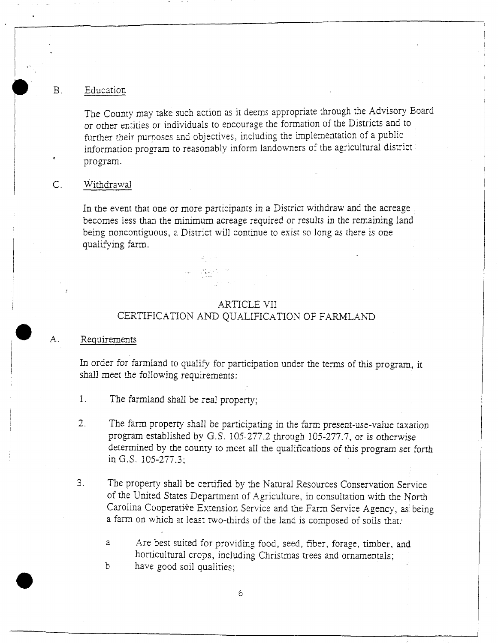#### B. Education

The County may take such action as it deems appropriate through the Advisory Board or other entities or individuals to encourage the formation of the Districts and to further their purposes and objectives, including the implementation of a public information program to reasonably inform landowners of the agricultural district program

#### C. Withdrawal

In the event that one or more participants in <sup>a</sup> District withdraw and the acreage becomes less than the minimum acreage required or results in the remaining land being noncontiguous, a District will continue to exist so long as there is one qualifying farm

#### ARTICLE VII CERTIFICATION AND QUALIFICATION OF FARMLAND

 $\mathcal{L} = \mathcal{L} \mathcal{L} \mathcal{L}$  .

#### A. Requirements

In order for farmland to qualify for participation under the terms of this program, it shall meet the following requirements

- 1. The farmland shall be real property;
- The farm property shall be participating in the farm present-use-value taxation ogram established by G.S. 105-277.2 through 105-277.7, or is otherwise determined by the county to meet all the qualifications of this program The farm property shall be participating in the farm present-use-value taxation<br>program established by G.S. 105-277.2 through 105-277.7, or is otherwise<br>determined by the county to meet all the qualifications of this progr  $\overline{2}$ . The farm property shall be participating in the farm present-use-value taxation program established by G.S. 105-277.2 through 105-277.7, or is otherwise in G.S.  $105-277.3$ :
- 3. The property shall be certified by the Natural Resources Conservation Service of the United States Department of Agriculture, in consultation with the North The property shall be certified by the Natural Resources Conservation Service<br>of the United States Department of Agriculture, in consultation with the North<br>Carolina Cooperative Extension Service and the Farm Service Agenc Carolina Cooperative Extension Service and the Farm Service Agency, a farm on which at least two-thirds of the land is composed of soils that.

a formulate Are best suited for providing food, seed, fiber, forage, timber, and horticultural crops, including Christmas trees and ornamentals;<br>have good soil qualities; b.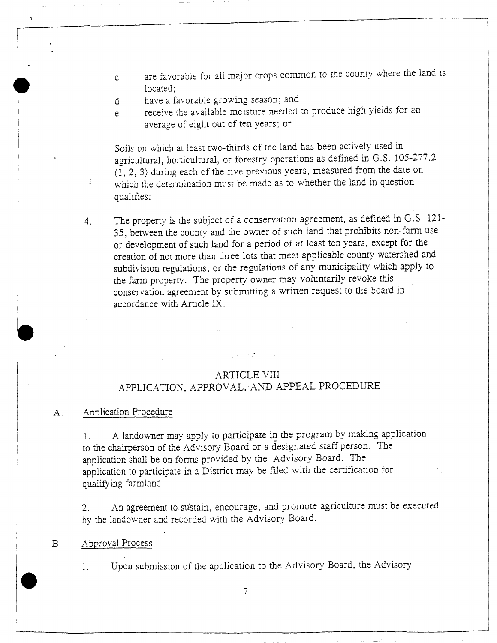- <sup>c</sup> are favorable for all major crops common to the county where the land is located:
- d have a favorable growing season; and
- <sup>e</sup> receive the available moisture needed to produce high yields for an average of eight out of ten years; or

Soils on which at least two-thirds of the land has been actively used in average of eight out of ten years; or<br>Soils on which at least two-thirds of the land has been actively used in<br>agricultural, horticultural, or forestry operations as defined in G.S. 105-277.<br>(1, 2, 3) during each of the fi agricultural, horticultural, or forestry operations as defined in G.S. 105-2.<br>(1, 2, 3) during each of the five previous years, measured from the date of which the determination must be made as to whether the land in ques Soils on which at least two-thirds of the land has been actively used in agricultural, horticultural, or forestry operations as defined in G.S. 105- $(1, 2, 3)$  during each of the five previous years, measured from the dat which the determination must be made as to whether the land in question qualifies;

which the determination must be made as to whether the fand in question<br>qualifies;<br>4. The property is the subject of a conservation agreement, as defined in G.S. 121<br>35, between the county and the owner of such land that p or development of such land for a period of at least ten years, except for the creation of not more than three lots that meet applicable county watershed and subdivision regulations, or the regulations of any municipality Subdivision regulations, of the regulations of any mainterparty which<br>the farm property. The property owner may voluntarily revoke this<br>conservation agreement by submitting a written request to the board<br>accordance with Ar conservation agreement by submitting a written request to the board in accordance with Article IX.

#### ARTICLE VIII

 $\mathcal{L}_{\text{max}} = \mathcal{L}_{\text{max}} \left( \mathcal{L}_{\text{max}} \right)$ 

#### APPLICATION, APPROVAL, AND APPEAL PROCEDURE

# APPLICATIC<br>A. Application Procedure

ARTICLE VIII<br>APPLICATION, APPROVAL, AND APPEAL PROCEDURE<br>Application Procedure<br>of the Advisory Board or a designated staff person. The<br>application shall be on forms provided by the Advisory Board. The<br>proplication shall be A landowner may apply to participate in the program by making application o the chairperson of the Advisory Board or a designated staff person. The application shall be on forms provided by the Advisory Board. The poplication to participate in a District may be filed with the certification for q application to participate in a District may be filed with the certification for qualifying farmland.

2. An agreement to sustain, encourage, and promote agriculture must be executed 2. An agreement to sustain, encourage, and promote<br>by the landowner and recorded with the Advisory Board.<br>3. Approval Process

Approval Process<br>1. Upon submission of the application to the Advisory Board, the Advisory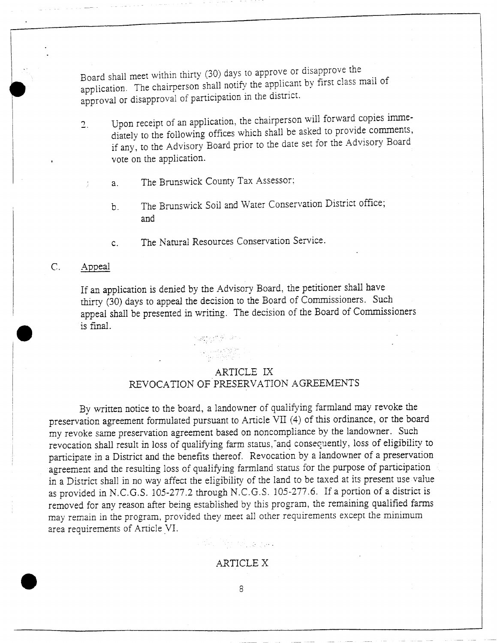Board shall meet within thirty <sup>30</sup> days to approve or disapprove the application. The chairperson shall notify the applicant by first class mail of approval or disapproval of participation in the district.

- Upon receipt of an application, the chairperson will forward copies imme- $\overline{2}$ . diately to the following offices which shall be asked to provide comments, if any, to the Advisory Board prior to the date set for the Advisory Board vote on the application
	- a. The Brunswick County Tax Assessor;
		- b. The Brunswick Soil and Water Conservation District office; and
		- c The Natural Resources Conservation Service

#### C. Appeal

If an application is denied by the Advisory Board, the petitioner shall have thirty (30) days to appeal the decision to the Board of Commissioners. Such appeal shall be presented in writing. The decision of the Board of Commissioners is final

#### ARTICLE IX

## REVOCATION OF PRESERVATION AGREEMENTS

By written notice to the board, a landowner of qualifying farmland may revoke the preservation agreement formulated pursuant to Article VII (4) of this ordinance, or the board my revoke same preservation agreement based on noncompliance by the landowner. Such revocation shall result in loss of qualifying farm status, and consequently, loss of eligibility to participate in a District and the benefits thereof. Revocation by a landowner of a preservation participate in a District and the benefits thereof. Revocation by a failuo where of a preservation<br>agreement and the resulting loss of qualifying farmland status for the purpose of participation<br>in a District shall in no w in a District shall in no way affect the eligibility of the land to be taxed at its present use value as provided in N.C.G.S. 105-277.2 through N.C.G.S. 105-277.6. If a portion of a district is removed for any reason after being established by this program, the remaining qualified farms area requirements of Article VI. may remain in the program, provided they meet all other requirements except the minimum<br>area requirements of Article VI.<br>ARTICLE X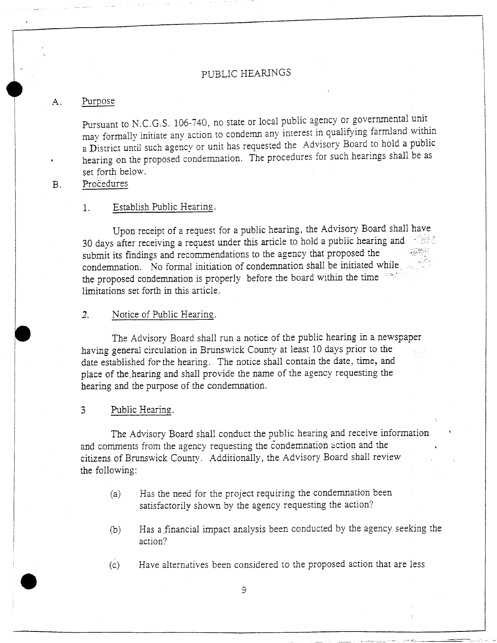#### PUBLIC HEARINGS

#### A. Purpose

Purpose<br>Pursuant to N.C.G.S. 106-740, no state or local public agency or governmental unit Formally initiate any action to state or local public agency or governmental<br>may formally initiate any action to condemn any interest in qualifying farmland<br>with the Advisory Board to hold a Pursuant to N.C.G.S. 106-740, no state or local public agency or governmental unit<br>
may formally initiate any action to condemn any interest in qualifying farmland within<br>
a District until such agency or unit has requested a District until such agency or unit has requested the Advisory Board to hold a public<br>hearing on the proposed condemnation. The procedures for such hearings shall be as<br>set forth below. hearing on the proposed condemnation. The procedures for such hearings shall be as set forth below.<br>Procedures

I

#### 1. Establish Public Hearing.

Upon receipt of a request for a public hearing, the Advisory Board shall have 1. Establish Public<br>Upon receipt of<br>30 days after receiving<br>submit its findings and a request for a public hearing, the Advisory Board shall<br>a request under this article to hold a public hearing and Itstablish Public Hearing.<br>
Upon receipt of a request for a public hearing, the Advisory Board shall<br>
30 days after receiving a request under this article to hold a public hearing an<br>
submit its findings and recommendation Upon receipt of a request for a public hearing, the Advisory Board<br>30 days after receiving a request under this article to hold a public hearing<br>submit its findings and recommendations to the agency that proposed the<br>conde limitations set forth in this article

#### 2. Notice of Public Hearing.

The Advisory Board shall run <sup>a</sup> notice of the public hearing in <sup>a</sup> newspaper having general circulation in Brunswick County at least <sup>10</sup> days prior to the date established for the hearing. The notice shall contain the date, time, and place of the hearing and shall provide the name of the agency requesting the hearing and the purpose of the condemnation

#### <sup>3</sup> Public Hearing

The Advisory Board shall conduct the public hearing and receive information and comments from the agency requesting the condemnation action and the citizens of Brunswick County. Additionally, the Advisory Board shall review the following

- (a) Has the need for the project requiring the condemnation been satisfactorily shown by the agency requesting the action?
- <sup>b</sup> Has <sup>a</sup> financial impact analysis been conducted by the agency seeking the action
- (c) Have alternatives been considered to the proposed action that are less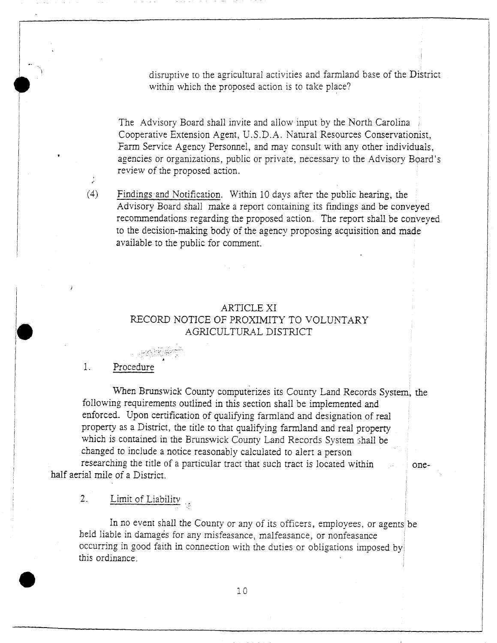disruptive to the agricultural activities and farmland base of the District within which the proposed action is to take place?

The Advisory Board shall invite and allow input by the North Carolina Cooperative Extension Agent, U.S.D.A. Natural Resources Conservationist, Farm Service Agency Personnel, and may consult with any other individuals. agencies or organizations, public or private, necessary to the Advisory Board's review of the proposed action

Findings and Notification. Within 10 days after the public hearing, the  $(4)$ Findings and Notification. Within 1<br>Advisory Board shall make a repor<br>recommendations regarding the prop<br>to the decision-making body of the a<br>available to the public for comment. Advisory Board shall make <sup>a</sup> report containing its findings and be conveyed recommendations regarding the proposed action. The report shall be conveyed<br>to the decision-making body of the agency proposing acquisition and made<br>ayailable to the public for comment

# ARTICLE XI<br>F PROXIMIT ARTICLE XI<br>RECORD NOTICE OF PROXIMITY TO VOLUNTARY<br>AGRICULTURAL DISTRICT ARTICLE XI<br>DTICE OF PROXIMITY TO VC<br>AGRICULTURAL DISTRICT

#### 1. Procedure

Procedure<br>When Brunswick County computerizes its County Land Records System, the<br>ig requirements outlined in this section shall be implemented and When Brunswick County computerizes its County Land Records S<br>
Sollowing requirements outlined in this section shall be implemented and<br>
inforced. Upon certification of qualifying farmland and designation of re following requirements outlined in this section shall be implemented and enforced. Upon certification of qualifying farmland and designation of real property as a District, the title to that qualifying farmland and real pr enforced. Upon certification of qualifying farmland and designation of real property as a District, the title to that qualifying farmland and real property which is contained in the Brunswick County Land Records System sha the total computer and designation<br>toperty as a District, the title to that qualifying farmland and real<br>phich is contained in the Brunswick County Land Records System<br>hanged to include a notice reasonably calculated to al changed to include a notice reasonably calculated to alert a person<br>researching the title of a particular tract that such tract is located within one-

half aerial mile of a District.<br>2. Limit of Liabi

Limit of Liability

In no event shall the County or any of its officers, employees, or agents be held liable in damages for any misfeasance, malfeasance, or nonfeasance Limit of Liability<br>In no event shall the County or any of its officers, employees, or a<br>lid liable in damages for any misfeasance, malfeasance, or nonfeasance<br>curring in good faith in connection with the duties or obligati In no event shall the County or any of its officers, employees, or agents beld liable in damages for any misfeasance, malfeasance, or nonfeasance curring in good faith in connection with the duties or obligations imposed b curring in goot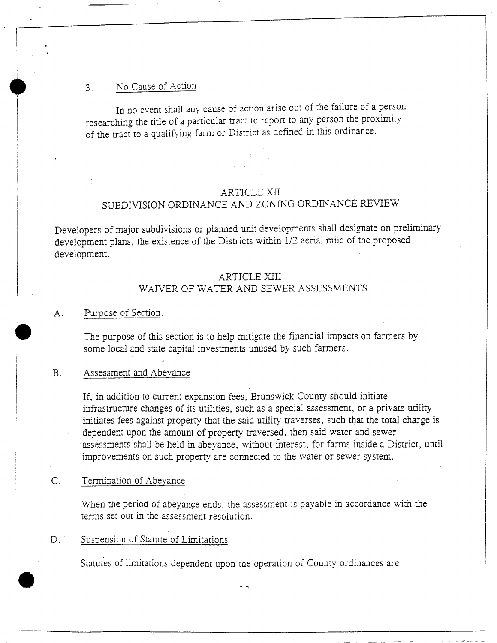#### 3. No Cause of Action

In no event shall any cause of action arise out of the failure of <sup>a</sup> person researching the title of <sup>a</sup> particular tract to report to any person the proximity of the tract to <sup>a</sup> qualifying farm or District as defined in this ordinance

#### ARTICLE XII SUBDIVISION ORDINANCE AND ZONING ORDINANCE REVIEW

Developers of major subdivisions or planned unit developments shall designate on preliminary development plans, the existence of the Districts within 1/2 aerial mile of the proposed development

#### ARTICLE XIII WAIVER OF WATER AND SEWER ASSESSMENTS

#### A. Purpose of Section.

The purpose of this section is to help mitigate the financial impacts on farmers by some local and state capital investments unused by such farmers.

#### B. Assessment and Abeyance

If. in addition to current expansion fees, Brunswick County should initiate infrastructure changes of its utilities, such as a special assessment, or a private utility initiates fees against property that the said utility traverses, such that the total charge is dependent upon the amount of property traversed, then said water and sewer assessments shall be held in abeyance, without interest, for farms inside a District, until improvements on such property are connected to the water or sewer system

#### C. Termination of Abeyance

e

When the period of abeyance ends, the assessment is payable in accordance with the terms set out in the assessment resolution

#### D. Suspension of Statute of Limitations

Starutes of limitations dependent upon tne operation of County ordinances are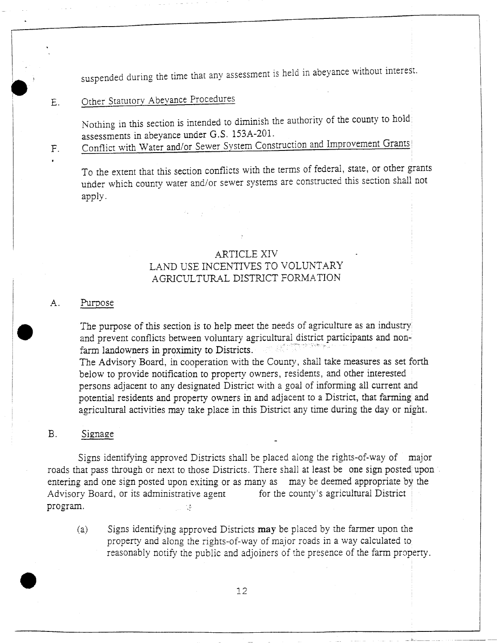suspended during the time that any assessment is held in abeyance without interest.

## E. Other Statutory Abeyance Procedures

Other Statutory Abeyance Procedures<br>Nothing in this section is intended to diminish the authority of the county to hold<br>assessments in abeyance under G.S. 153A-201. Mothing in this section is intended to diminish thas<br>sessments in abeyance under G.S. 153A-201.<br>Conflict with Water and/or Sewer System Cons assessments in abeyance under G.S. 153A-201.<br>Conflict with Water and/or Sewer System Construction and Improvement Grants

 $F<sub>r</sub>$ 

To the extent that this section conflicts with the terms of federal, state, or other grants under which county water and/or sewer systems are constructed this section shall not apply.

#### ARTICLE XIV LAND USE INCENTIVES TO VOLUNTARY AGRICULTURAL DISTRICT FORMATION

#### A. Purpose

The purpose of this section is to help meet the needs of agriculture as an industry and prevent conflicts between voluntary agricultural district participants and nonfarm landowners in proximity to Districts. The Advisory Board, in cooperation with the County, shall take measures as set forth below to provide notification to property owners, residents, and other interested persons adjacent to any designated District with <sup>a</sup> goal of informing all current and potential residents and property owners in and adjacent to a District, that farming and agricultural activities may take place in this District any time during the day or night

#### B. Signage

Signs identifying approved Districts shall be placed along the rights-of-way of major roads that pass through or next to those Districts. There shall at least be one sign posted upon Signs identifying approved Districts shall be placed along the rights-of-way of major roads that pass through or next to those Districts. There shall at least be one sign posted upon entering and one sign posted upon exiti entering and one sign posted upon exiting or as many as may be deemed appropriate by the Advisory Board, or its administrative agent for the county's agricultural District program.<br>(a) Signs identifying approved Districts

identify in the boundary of the signs identifying approved Districts may be placed by the farmer upon the Signs identifying approved Districts may be placed by the farmer upon the property and along the rights-of-way of major roads in a way calculated to reasonably notify the public and adjoiners of the presence of the farm property.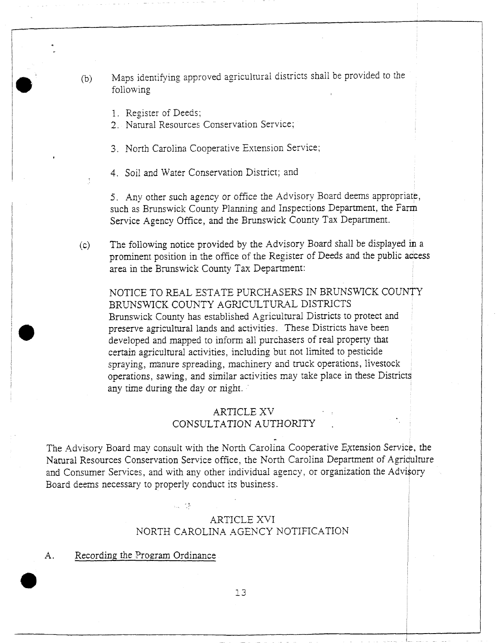(b) Maps identifying approved agricultural districts shall be provided to the<br>following Maps identifying app<br>following<br>1. Register of Deeds<br>2. Natural Resource following<br>1. Register of Deeds;

2 Natural Resources Conservation Service;

3. North Carolina Cooperative Extension Service;

4. Soil and Water Conservation District; and

5. Any other such agency or office the Advisory Board deems appropriate, 5. Any other such agency or office the Advisory Board deems appropriate<br>such as Brunswick County Planning and Inspections Department, the Farm<br>Service Agency Office, and the Brunswick County Tax Department. S. Any other sach agency of office the Herbory Beard deems approach such as Brunswick County Planning and Inspections Department, the<br>Service Agency Office, and the Brunswick County Tax Department

Service Agency Office, and the Brunswick County 1 as Department.<br>
(c) The following notice provided by the Advisory Board shall be displayed in a<br>
prominent position in the office of the Register of Deeds and the public ac such as Brunswick County Planning and Inspections Department, the Farm<br>Service Agency Office, and the Brunswick County Tax Department.<br>The following notice provided by the Advisory Board shall be displayed in a<br>prominent p prominent position in the office of the Register of Deeds and the public acce<br>area in the Brunswick County Tax Department:<br>NOTICE TO REAL ESTATE PURCHASERS IN BRUNSWICK COUNTY<br>BRUNSWICK COUNTY AGRICULTURAL DISTRICTS

The following notice provided by the Advisory Board shall<br>prominent position in the office of the Register of Deeds and<br>area in the Brunswick County Tax Department:<br>NOTICE TO REAL ESTATE PURCHASERS IN BRUNSY<br>BRUNSWICK COUN NOTICE TO REAL ESTATE PURCHASERS IN BRUNSWICK COUNTY<br>BRUNSWICK COUNTY AGRICULTURAL DISTRICTS<br>Brunswick County has established Agricultural Districts to protect and preserve agricultural lands and activities. These Districts have been developed and mapped to inform all purchasers of real property that Brunswick County has established Agricultural Districts to protect a preserve agricultural lands and activities. These Districts have been developed and mapped to inform all purchasers of real property that certain agricul preserve agricultural lands and activities. These Districts have been developed and mapped to inform all purchasers of real property the certain agricultural activities, including but not limited to pesticide corrations ma perturnal activities, including out not finited to pesticide<br>
spraying, manure spreading, machinery and truck operations, livestock<br>
operations, sawing, and similar activities may take place in these Districts<br>
any time du operations, sawing, and similar activities may take place in these Districts any time during the day or night. ided by the Advisor<br>
office of the Registe<br>
unty Tax Departmer<br>
ATE PURCHASER<br>
AGRICULTURAL<br>
tablished Agricultura<br>
is and activities. The<br>
inform all purchaser<br>
ies, including but nc<br>
ng, machinery and tr<br>
milar activitie

## ARTICLE XV<br>CONSULTATION AUTHORITY

The Advisory Board may consult with the North Carolina Cooperative Extension Service, the CONSULTATION AUTHORITY<br>The Advisory Board may consult with the North Carolina Cooperative Extension Service, the<br>Natural Resources Conservation Service office, the North Carolina Department of Agriculture<br>Ind Consumer Serv The Advisory Board may consult with the North Carolina Cooperative Extension Service, the Natural Resources Conservation Service office, the North Carolina Department of Agriculture individual agency or organization the Ad and Consumer Services, and with any other individual agency, or organization the Advisory Board deems necessary to properly conduct its business.

# ARTICLE XVI<br>NORTH CAROLINA AGENCY NOTIFICATION

A. Recording the Program Ordinance

su në

Ordinance e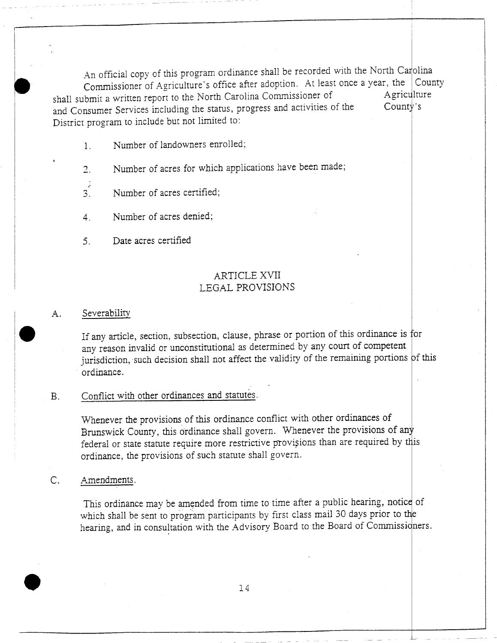An official copy of this program ordinance shall be recorded with the North Carolina Commissioner of Agriculture's office after adoption. At least once a year, the County shall submit a written report to the North Carolina Commissioner of Agriculture<br>A Commer Services including the status, progress and activities of the County's and Consumer Services including the status, progress and activities of the District program to include but not limited to

- 1. Number of landowners enrolled;
- Number of acres for which applications have been made;  $2.$
- $\frac{3}{3}$  Number of acres certified;
- 4. Number of acres denied;
- 5 Date acres certified

## ARTICLE XVII LEGAL PROVISIONS

#### A. Severability

If any article, section, subsection, clause, phrase or portion of this ordinance is for any reason invalid or unconstitutional as determined by any court of competent jurisdiction, such decision shall not affect the validity of the remaining portions of this ordinance

### B. Conflict with other ordinances and statutes.

Whenever the provisions of this ordinance conflict with other ordinances of Brunswick County, this ordinance shall govern. Whenever the provisions of any federal or state statute require more restrictive provisions than are required by this ordinance, the provisions of such statute shall govern.

#### C. Amendments.

This ordinance may be amended from time to time after a public hearing, notice of This ordinance may be amended from time to time after a public hearing, notice which shall be sent to program participants by first class mail 30 days prior to the hearing, and in consultation with the Advisory Board to th